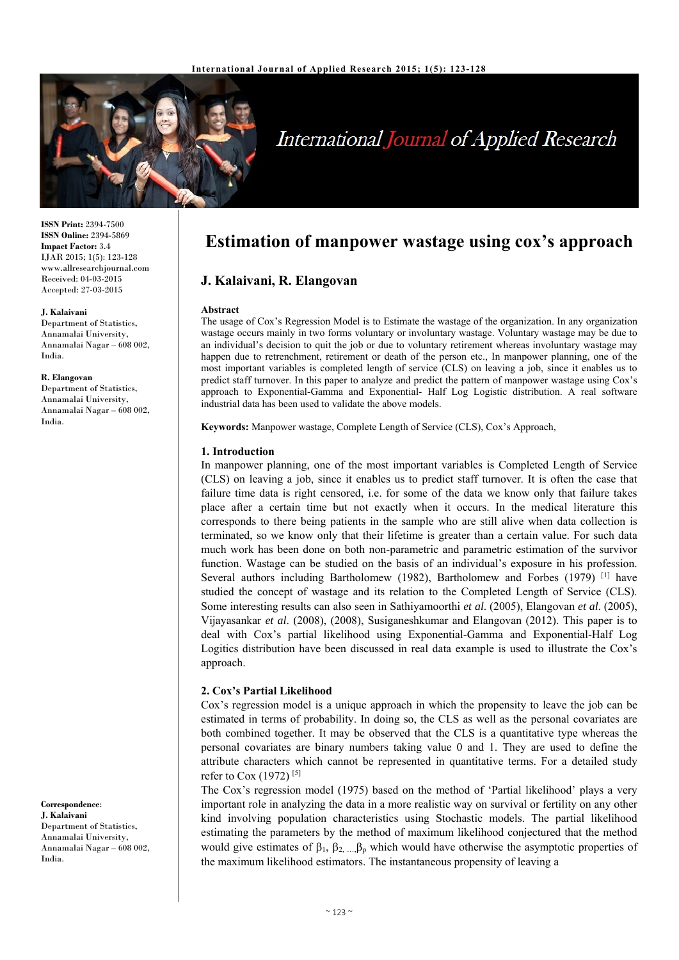

# International Journal of Applied Research

**ISSN Print:** 2394-7500 **ISSN Online:** 2394-5869 **Impact Factor:** 3.4 IJAR 2015; 1(5): 123-128 www.allresearchjournal.com Received: 04-03-2015 Accepted: 27-03-2015

#### **J. Kalaivani**

Department of Statistics, Annamalai University, Annamalai Nagar – 608 002, India.

#### **R. Elangovan**

Department of Statistics, Annamalai University, Annamalai Nagar – 608 002, India.

**Correspondence**: **J. Kalaivani**  Department of Statistics, Annamalai University, Annamalai Nagar – 608 002, India.

## **Estimation of manpower wastage using cox's approach**

### **J. Kalaivani, R. Elangovan**

#### **Abstract**

The usage of Cox's Regression Model is to Estimate the wastage of the organization. In any organization wastage occurs mainly in two forms voluntary or involuntary wastage. Voluntary wastage may be due to an individual's decision to quit the job or due to voluntary retirement whereas involuntary wastage may happen due to retrenchment, retirement or death of the person etc., In manpower planning, one of the most important variables is completed length of service (CLS) on leaving a job, since it enables us to predict staff turnover. In this paper to analyze and predict the pattern of manpower wastage using Cox's approach to Exponential-Gamma and Exponential- Half Log Logistic distribution. A real software industrial data has been used to validate the above models.

**Keywords:** Manpower wastage, Complete Length of Service (CLS), Cox's Approach,

#### **1. Introduction**

In manpower planning, one of the most important variables is Completed Length of Service (CLS) on leaving a job, since it enables us to predict staff turnover. It is often the case that failure time data is right censored, i.e. for some of the data we know only that failure takes place after a certain time but not exactly when it occurs. In the medical literature this corresponds to there being patients in the sample who are still alive when data collection is terminated, so we know only that their lifetime is greater than a certain value. For such data much work has been done on both non-parametric and parametric estimation of the survivor function. Wastage can be studied on the basis of an individual's exposure in his profession. Several authors including Bartholomew (1982), Bartholomew and Forbes (1979) [1] have studied the concept of wastage and its relation to the Completed Length of Service (CLS). Some interesting results can also seen in Sathiyamoorthi *et al*. (2005), Elangovan *et al*. (2005), Vijayasankar *et al*. (2008), (2008), Susiganeshkumar and Elangovan (2012). This paper is to deal with Cox's partial likelihood using Exponential-Gamma and Exponential-Half Log Logitics distribution have been discussed in real data example is used to illustrate the Cox's approach.

### **2. Cox's Partial Likelihood**

Cox's regression model is a unique approach in which the propensity to leave the job can be estimated in terms of probability. In doing so, the CLS as well as the personal covariates are both combined together. It may be observed that the CLS is a quantitative type whereas the personal covariates are binary numbers taking value 0 and 1. They are used to define the attribute characters which cannot be represented in quantitative terms. For a detailed study refer to Cox (1972)<sup>[5]</sup>

The Cox's regression model (1975) based on the method of 'Partial likelihood' plays a very important role in analyzing the data in a more realistic way on survival or fertility on any other kind involving population characteristics using Stochastic models. The partial likelihood estimating the parameters by the method of maximum likelihood conjectured that the method would give estimates of  $\beta_1$ ,  $\beta_2$ ,  $\beta_p$  which would have otherwise the asymptotic properties of the maximum likelihood estimators. The instantaneous propensity of leaving a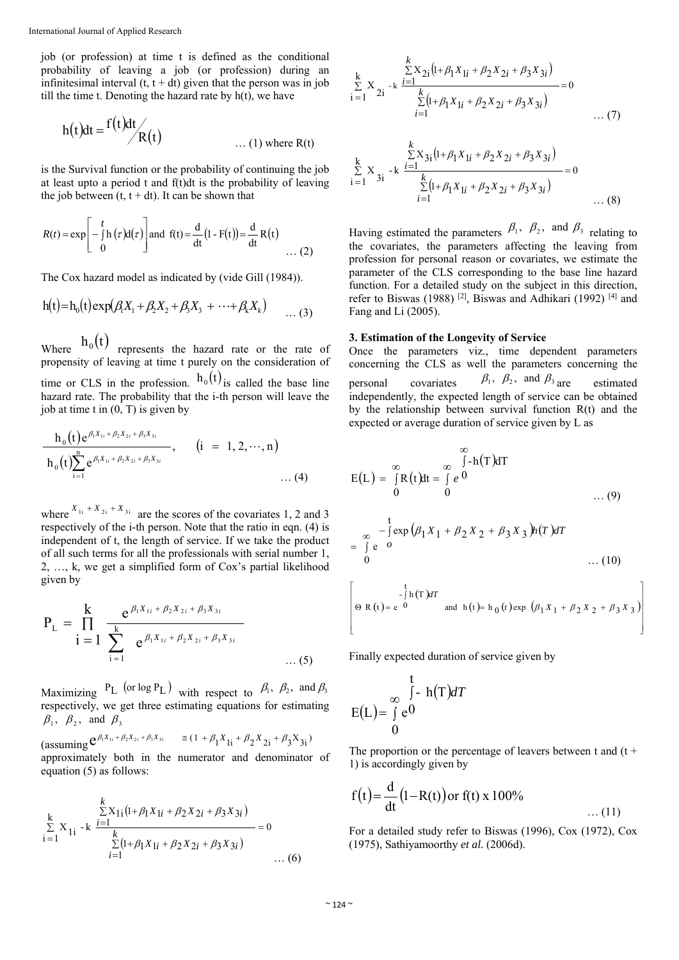job (or profession) at time t is defined as the conditional probability of leaving a job (or profession) during an infinitesimal interval  $(t, t + dt)$  given that the person was in job till the time t. Denoting the hazard rate by  $h(t)$ , we have

$$
h(t)dt = \frac{f(t)dt}{R(t)}
$$
 ... (1) where R(t)

is the Survival function or the probability of continuing the job at least upto a period t and f(t)dt is the probability of leaving the job between  $(t, t + dt)$ . It can be shown that

$$
R(t) = \exp\left[-\int_{0}^{t} h(\tau) d(\tau)\right]
$$
 and  $f(t) = \frac{d}{dt}(1 - F(t)) = \frac{d}{dt}R(t)$  ... (2)

The Cox hazard model as indicated by (vide Gill (1984)).

$$
h(t)=h_0(t) \exp(\beta_1 X_1 + \beta_2 X_2 + \beta_3 X_3 + \cdots + \beta_k X_k)
$$
 ... (3)

Where  $h_0(t)$  represents the hazard rate or the rate of propensity of leaving at time t purely on the consideration of time or CLS in the profession.  $h_0(t)$  is called the base line hazard rate. The probability that the *i*-th person will leave the job at time t in  $(0, T)$  is given by

$$
\frac{h_0(t)e^{\beta_1X_{1i}+\beta_2X_{2i}+\beta_3X_{3i}}}{h_0(t)\sum_{i=1}^n e^{\beta_iX_{1i}+\beta_2X_{2i}+\beta_3X_{3i}}}, \quad (i = 1, 2, \cdots, n)
$$
\n(4)

where  $X_{1i} + X_{2i} + X_{3i}$  are the scores of the covariates 1, 2 and 3 respectively of the i-th person. Note that the ratio in eqn. (4) is independent of t, the length of service. If we take the product of all such terms for all the professionals with serial number 1, 2, …, k, we get a simplified form of Cox's partial likelihood given by

$$
P_{L} = \prod_{i=1}^{k} \frac{e^{\beta_{i}X_{1i} + \beta_{2}X_{2i} + \beta_{3}X_{3i}}}{\sum_{i=1}^{k} e^{\beta_{i}X_{1i} + \beta_{2}X_{2i} + \beta_{3}X_{3i}}} \dots (5)
$$

Maximizing  $P_L$  (or log  $P_L$ ) with respect to  $\beta_1$ ,  $\beta_2$ , and  $\beta_3$ respectively, we get three estimating equations for estimating  $\beta_1$ ,  $\beta_2$ , and  $\beta_3$ 

 $(\text{assuming } \mathbf{C}^{\beta_1 X_{1i} + \beta_2 X_{2i} + \beta_3 X_{3i}} \cong (1 + \beta_1 X_{1i} + \beta_2 X_{2i} + \beta_3 X_{3i})$ approximately both in the numerator and denominator of equation (5) as follows:

$$
\sum_{i=1}^{k} X_{1i} \cdot k \frac{\sum_{i=1}^{k} X_{1i} (1 + \beta_1 X_{1i} + \beta_2 X_{2i} + \beta_3 X_{3i})}{\sum_{i=1}^{k} (1 + \beta_1 X_{1i} + \beta_2 X_{2i} + \beta_3 X_{3i})} = 0
$$
\n.... (6)

$$
\sum_{i=1}^{k} X_{2i} \xrightarrow{i} \frac{\sum_{i=1}^{k} X_{2i} (1 + \beta_1 X_{1i} + \beta_2 X_{2i} + \beta_3 X_{3i})}{\sum_{i=1}^{k} (1 + \beta_1 X_{1i} + \beta_2 X_{2i} + \beta_3 X_{3i})} = 0
$$
 ... (7)

$$
\sum_{i=1}^{k} X_{3i} - k \frac{\sum_{i=1}^{k} X_{3i} (1 + \beta_1 X_{1i} + \beta_2 X_{2i} + \beta_3 X_{3i})}{\sum_{i=1}^{k} (1 + \beta_1 X_{1i} + \beta_2 X_{2i} + \beta_3 X_{3i})} = 0
$$
\n(8)

Having estimated the parameters  $\beta_1$ ,  $\beta_2$ , and  $\beta_3$  relating to the covariates, the parameters affecting the leaving from profession for personal reason or covariates, we estimate the parameter of the CLS corresponding to the base line hazard function. For a detailed study on the subject in this direction. refer to Biswas (1988) [2], Biswas and Adhikari (1992) [4] and Fang and Li (2005).

#### **3. Estimation of the Longevity of Service**

Once the parameters viz., time dependent parameters concerning the CLS as well the parameters concerning the personal covariates  $\beta_1$ ,  $\beta_2$ , and  $\beta_3$  are estimated independently, the expected length of service can be obtained by the relationship between survival function R(t) and the expected or average duration of service given by L as

$$
E(L) = \int_{0}^{\infty} R(t)dt = \int_{0}^{\infty} e^{0} \qquad (9)
$$

$$
= \int_{0}^{t} e^{-\int_{0}^{t} exp(\beta_{1}X_{1} + \beta_{2}X_{2} + \beta_{3}X_{3})h(T) dT}
$$
  
=  $\int_{0}^{t} e^{-\theta}$  ...(10)

$$
\left[ \Theta \text{ R (t) = e} \right]^{\frac{t}{\pi}} \text{ and } \text{ h (t) = h_0 (t) exp } (\beta_1 X_1 + \beta_2 X_2 + \beta_3 X_3)
$$

Finally expected duration of service given by

$$
E(L) = \int_{0}^{\infty} e^{0} \cdot h(T) dT
$$

The proportion or the percentage of leavers between t and  $(t +$ 1) is accordingly given by

$$
f(t) = \frac{d}{dt} (1 - R(t)) \text{ or } f(t) \times 100\%
$$
...(11)

For a detailed study refer to Biswas (1996), Cox (1972), Cox (1975), Sathiyamoorthy *et al.* (2006d).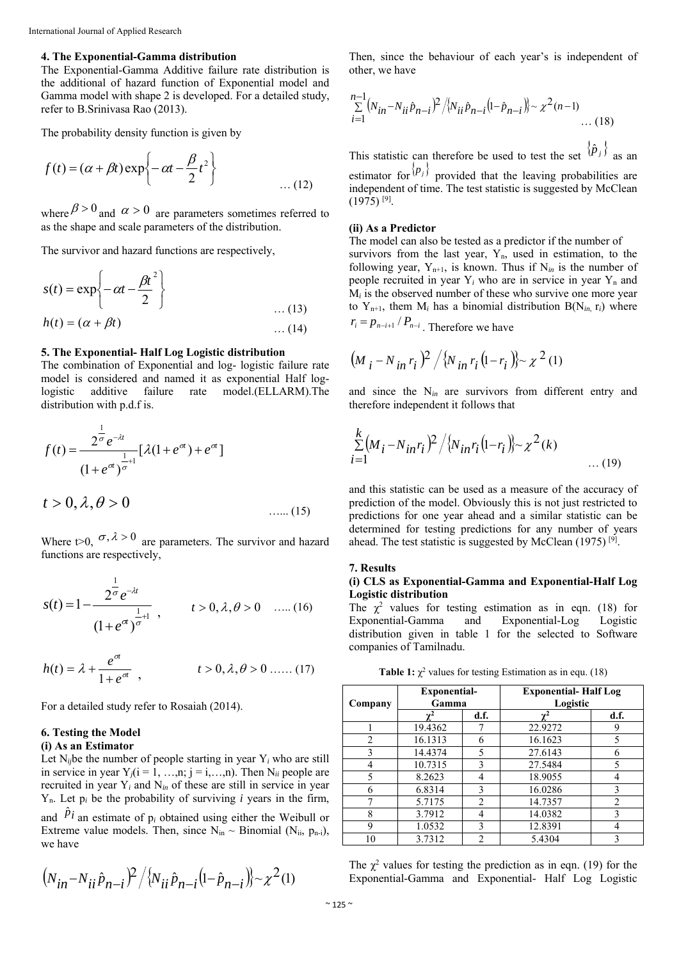### **4. The Exponential-Gamma distribution**

The Exponential-Gamma Additive failure rate distribution is the additional of hazard function of Exponential model and Gamma model with shape 2 is developed. For a detailed study, refer to B.Srinivasa Rao (2013).

The probability density function is given by

$$
f(t) = (\alpha + \beta t) \exp\left\{-\alpha t - \frac{\beta}{2}t^2\right\}
$$
 ... (12)

where  $\beta > 0$  and  $\alpha > 0$  are parameters sometimes referred to as the shape and scale parameters of the distribution.

The survivor and hazard functions are respectively,

$$
s(t) = \exp\left\{-\alpha t - \frac{\beta t^2}{2}\right\}
$$
  
 
$$
h(t) = (\alpha + \beta t) \qquad ...(13)
$$
  
...(14)

#### **5. The Exponential- Half Log Logistic distribution**

The combination of Exponential and log- logistic failure rate model is considered and named it as exponential Half loglogistic additive failure rate model.(ELLARM).The distribution with p.d.f is.

$$
f(t) = \frac{2^{\frac{1}{\sigma}} e^{-\lambda t}}{(1 + e^{\sigma})^{\frac{1}{\sigma}+1}} [\lambda (1 + e^{\sigma}) + e^{\sigma}]
$$

$$
t > 0, \lambda, \theta > 0 \tag{15}
$$

Where t>0,  $\sigma$ ,  $\lambda$  > 0 are parameters. The survivor and hazard functions are respectively,

$$
s(t) = 1 - \frac{2^{\frac{1}{\sigma}} e^{-\lambda t}}{(1 + e^{\sigma t})^{\frac{1}{\sigma} + 1}}, \qquad t > 0, \lambda, \theta > 0 \quad \dots (16)
$$

$$
h(t) = \lambda + \frac{e^{\sigma t}}{1 + e^{\sigma t}}, \qquad t > 0, \lambda, \theta > 0 \dots (17)
$$

For a detailed study refer to Rosaiah (2014).

### **6. Testing the Model**

### **(i) As an Estimator**

Let  $N_i$  be the number of people starting in year  $Y_i$  who are still in service in year  $Y_j$ ( $i = 1, ..., n$ ;  $j = i, ..., n$ ). Then  $N_{ii}$  people are recruited in year Y*i* and N*in* of these are still in service in year  $Y_n$ . Let  $p_i$  be the probability of surviving *i* years in the firm, and  $\pi$ <sup>*Pi*</sup> an estimate of  $p_i$  obtained using either the Weibull or

Extreme value models. Then, since  $N_{in} \sim$  Binomial ( $N_{ii}$ ,  $p_{n-i}$ ), we have

$$
(N_{in} - N_{ii} \hat{p}_{n-i})^2 / \{N_{ii} \hat{p}_{n-i} (1 - \hat{p}_{n-i})\} \sim \chi^2(1)
$$

Then, since the behaviour of each year's is independent of other, we have

$$
\sum_{i=1}^{n-1} (N_{in} - N_{ii} \hat{p}_{n-i})^2 / \{N_{ii} \hat{p}_{n-i} (1 - \hat{p}_{n-i})\} \sim \chi^2(n-1) \dots (18)
$$

This statistic can therefore be used to test the set  $\binom{p_j}{j}$  as an

estimator for  $\langle P_j \rangle$  provided that the leaving probabilities are independent of time. The test statistic is suggested by McClean  $(1975)$ <sup>[9]</sup>.

#### **(ii) As a Predictor**

The model can also be tested as a predictor if the number of survivors from the last year,  $Y_n$ , used in estimation, to the following year,  $Y_{n+1}$ , is known. Thus if  $N_{in}$  is the number of people recruited in year  $Y_i$  who are in service in year  $Y_n$  and  $M_i$  is the observed number of these who survive one more year to  $Y_{n+1}$ , them  $M_i$  has a binomial distribution  $B(N_{in} r_i)$  where  $r_i = p_{n-i+1} / P_{n-i}$ . Therefore we have

$$
(M_i - N_{in} r_i)^2 / {N_{in} r_i (1 - r_i)} \sim \chi^2 (1)
$$

and since the N*in* are survivors from different entry and therefore independent it follows that

$$
\sum_{i=1}^{k} (M_i - N_{in}r_i)^2 / \{N_{in}r_i(1 - r_i)\} \sim \chi^2(k)
$$
 ... (19)

and this statistic can be used as a measure of the accuracy of prediction of the model. Obviously this is not just restricted to predictions for one year ahead and a similar statistic can be determined for testing predictions for any number of years ahead. The test statistic is suggested by McClean (1975)<sup>[9]</sup>.

#### **7. Results**

#### **(i) CLS as Exponential-Gamma and Exponential-Half Log Logistic distribution**

The  $\chi^2$  values for testing estimation as in eqn. (18) for Exponential-Gamma and Exponential-Log Logistic distribution given in table 1 for the selected to Software companies of Tamilnadu.

**Table 1:**  $\chi^2$  values for testing Estimation as in equ. (18)

| Company        | Exponential-<br>Gamma |                | <b>Exponential-Half Log</b><br>Logistic |                |  |
|----------------|-----------------------|----------------|-----------------------------------------|----------------|--|
|                |                       | d.f.           | v                                       | d.f.           |  |
|                | 19.4362               |                | 22.9272                                 | q              |  |
| $\overline{c}$ | 16.1313               | 6              | 16.1623                                 | 5              |  |
| 3              | 14.4374               | 5              | 27.6143                                 | 6              |  |
| 4              | 10.7315               | 3              | 27.5484                                 | 5              |  |
| 5              | 8.2623                | 4              | 18.9055                                 |                |  |
| 6              | 6.8314                | 3              | 16.0286                                 | 3              |  |
| 7              | 5.7175                | $\overline{2}$ | 14.7357                                 | $\overline{2}$ |  |
| 8              | 3.7912                | 4              | 14.0382                                 | 3              |  |
| 9              | 1.0532                | 3              | 12.8391                                 |                |  |
| 10             | 3.7312                | $\mathfrak{D}$ | 5.4304                                  | κ              |  |

The  $\chi^2$  values for testing the prediction as in eqn. (19) for the Exponential-Gamma and Exponential- Half Log Logistic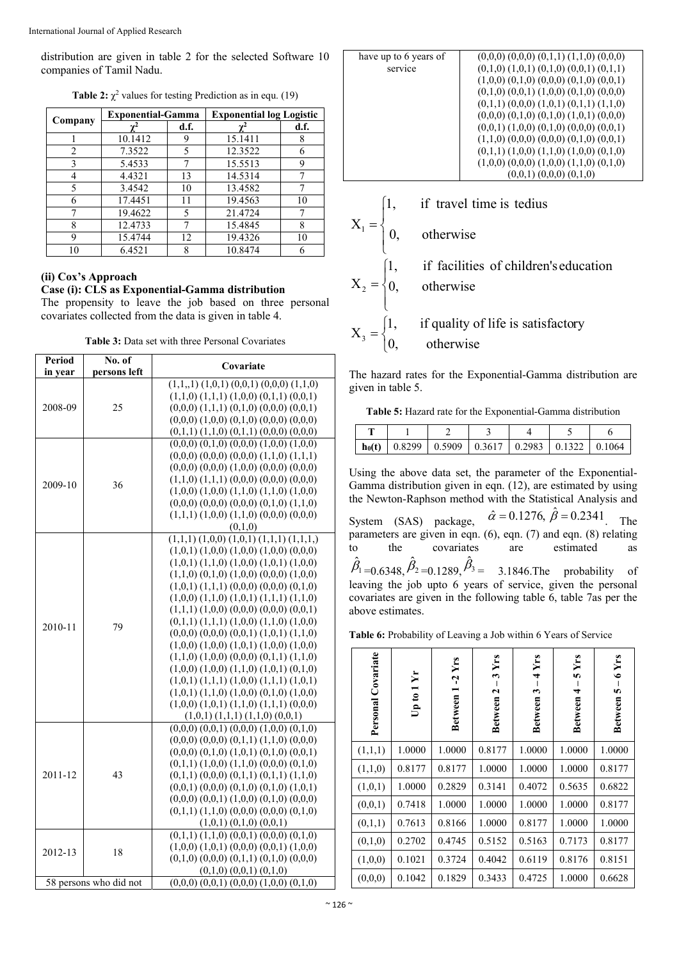International Journal of Applied Research

distribution are given in table 2 for the selected Software 10 companies of Tamil Nadu.

| Company | <b>Exponential-Gamma</b> |      | <b>Exponential log Logistic</b> |      |  |
|---------|--------------------------|------|---------------------------------|------|--|
|         |                          | d.f. |                                 | d.f. |  |
|         | 10.1412                  |      | 15.1411                         | 8    |  |
| 2       | 7.3522                   | 5    | 12.3522                         | 6    |  |
| 3       | 5.4533                   |      | 15.5513                         | 9    |  |
| 4       | 4.4321                   | 13   | 14.5314                         |      |  |
| 5       | 3.4542                   | 10   | 13.4582                         |      |  |
| 6       | 17.4451                  | 11   | 19.4563                         | 10   |  |
|         | 19.4622                  | 5    | 21.4724                         |      |  |
| 8       | 12.4733                  |      | 15.4845                         | 8    |  |
| 9       | 15.4744                  | 12   | 19.4326                         | 10   |  |
| 10      | 6.4521                   |      | 10.8474                         | 6    |  |

**Table 2:**  $\chi^2$  values for testing Prediction as in equ. (19)

### **(ii) Cox's Approach**

### **Case (i): CLS as Exponential-Gamma distribution**

The propensity to leave the job based on three personal covariates collected from the data is given in table 4.

**Table 3:** Data set with three Personal Covariates

| Period  | No. of                 | Covariate                                                                                              |  |  |  |  |
|---------|------------------------|--------------------------------------------------------------------------------------------------------|--|--|--|--|
| in year | persons left           |                                                                                                        |  |  |  |  |
|         |                        | $(1,1,1)$ $(1,0,1)$ $(0,0,1)$ $(0,0,0)$ $(1,1,0)$                                                      |  |  |  |  |
|         |                        | $(1,1,0)$ $(1,1,1)$ $(1,0,0)$ $(0,1,1)$ $(0,0,1)$                                                      |  |  |  |  |
| 2008-09 | 25                     | $(0,0,0)$ $(1,1,1)$ $(0,1,0)$ $(0,0,0)$ $(0,0,1)$                                                      |  |  |  |  |
|         |                        | $(0,0,0)$ $(1,0,0)$ $(0,1,0)$ $(0,0,0)$ $(0,0,0)$                                                      |  |  |  |  |
|         |                        | $(0,1,1)$ $(1,1,0)$ $(0,1,1)$ $(0,0,0)$ $(0,0,0)$                                                      |  |  |  |  |
|         |                        | $(0,0,0)$ $(0,1,0)$ $(0,0,0)$ $(1,0,0)$ $(1,0,0)$                                                      |  |  |  |  |
|         |                        | $(0,0,0)$ $(0,0,0)$ $(0,0,0)$ $(1,1,0)$ $(1,1,1)$                                                      |  |  |  |  |
|         |                        | $(0,0,0)$ $(0,0,0)$ $(1,0,0)$ $(0,0,0)$ $(0,0,0)$                                                      |  |  |  |  |
| 2009-10 | 36                     | $(1,1,0)$ $(1,1,1)$ $(0,0,0)$ $(0,0,0)$ $(0,0,0)$                                                      |  |  |  |  |
|         |                        | $(1,0,0)$ $(1,0,0)$ $(1,1,0)$ $(1,1,0)$ $(1,0,0)$                                                      |  |  |  |  |
|         |                        | $(0,0,0)$ $(0,0,0)$ $(0,0,0)$ $(0,1,0)$ $(1,1,0)$                                                      |  |  |  |  |
|         |                        | $(1,1,1)$ $(1,0,0)$ $(1,1,0)$ $(0,0,0)$ $(0,0,0)$                                                      |  |  |  |  |
|         |                        | (0,1,0)                                                                                                |  |  |  |  |
|         |                        | $(1,1,1)$ $(1,0,0)$ $(1,0,1)$ $(1,1,1)$ $(1,1,1,1)$                                                    |  |  |  |  |
|         |                        | $(1,0,1)$ $(1,0,0)$ $(1,0,0)$ $(1,0,0)$ $(0,0,0)$                                                      |  |  |  |  |
|         |                        | $(1,0,1)$ $(1,1,0)$ $(1,0,0)$ $(1,0,1)$ $(1,0,0)$                                                      |  |  |  |  |
|         | 79                     | $(1,1,0)$ $(0,1,0)$ $(1,0,0)$ $(0,0,0)$ $(1,0,0)$<br>$(1,0,1)$ $(1,1,1)$ $(0,0,0)$ $(0,0,0)$ $(0,1,0)$ |  |  |  |  |
|         |                        | $(1,0,0)$ $(1,1,0)$ $(1,0,1)$ $(1,1,1)$ $(1,1,0)$                                                      |  |  |  |  |
|         |                        | $(1,1,1)$ $(1,0,0)$ $(0,0,0)$ $(0,0,0)$ $(0,0,1)$                                                      |  |  |  |  |
|         |                        | $(0,1,1)$ $(1,1,1)$ $(1,0,0)$ $(1,1,0)$ $(1,0,0)$                                                      |  |  |  |  |
| 2010-11 |                        | $(0,0,0)$ $(0,0,0)$ $(0,0,1)$ $(1,0,1)$ $(1,1,0)$                                                      |  |  |  |  |
|         |                        | $(1,0,0)$ $(1,0,0)$ $(1,0,1)$ $(1,0,0)$ $(1,0,0)$                                                      |  |  |  |  |
|         |                        | $(1,1,0)$ $(1,0,0)$ $(0,0,0)$ $(0,1,1)$ $(1,1,0)$                                                      |  |  |  |  |
|         |                        | $(1,0,0)$ $(1,0,0)$ $(1,1,0)$ $(1,0,1)$ $(0,1,0)$                                                      |  |  |  |  |
|         |                        | $(1,0,1)$ $(1,1,1)$ $(1,0,0)$ $(1,1,1)$ $(1,0,1)$                                                      |  |  |  |  |
|         |                        | $(1,0,1)$ $(1,1,0)$ $(1,0,0)$ $(0,1,0)$ $(1,0,0)$                                                      |  |  |  |  |
|         |                        | $(1,0,0)$ $(1,0,1)$ $(1,1,0)$ $(1,1,1)$ $(0,0,0)$                                                      |  |  |  |  |
|         |                        | $(1,0,1)$ $(1,1,1)$ $(1,1,0)$ $(0,0,1)$                                                                |  |  |  |  |
|         |                        | $(0,0,0)$ $(0,0,1)$ $(0,0,0)$ $(1,0,0)$ $(0,1,0)$                                                      |  |  |  |  |
|         |                        | $(0,0,0)$ $(0,0,0)$ $(0,1,1)$ $(1,1,0)$ $(0,0,0)$                                                      |  |  |  |  |
|         |                        | $(0,0,0)$ $(0,1,0)$ $(1,0,1)$ $(0,1,0)$ $(0,0,1)$                                                      |  |  |  |  |
|         |                        | $(0,1,1)$ $(1,0,0)$ $(1,1,0)$ $(0,0,0)$ $(0,1,0)$                                                      |  |  |  |  |
| 2011-12 | 43                     | $(0,1,1)$ $(0,0,0)$ $(0,1,1)$ $(0,1,1)$ $(1,1,0)$                                                      |  |  |  |  |
|         |                        | $(0,0,1)$ $(0,0,0)$ $(0,1,0)$ $(0,1,0)$ $(1,0,1)$                                                      |  |  |  |  |
|         |                        | $(0,0,0)$ $(0,0,1)$ $(1,0,0)$ $(0,1,0)$ $(0,0,0)$                                                      |  |  |  |  |
|         |                        | $(0,1,1)$ $(1,1,0)$ $(0,0,0)$ $(0,0,0)$ $(0,1,0)$                                                      |  |  |  |  |
|         |                        | $(1,0,1)$ $(0,1,0)$ $(0,0,1)$                                                                          |  |  |  |  |
|         |                        | $(0,1,1)$ $(1,1,0)$ $(0,0,1)$ $(0,0,0)$ $(0,1,0)$                                                      |  |  |  |  |
| 2012-13 | 18                     | $(1,0,0)$ $(1,0,1)$ $(0,0,0)$ $(0,0,1)$ $(1,0,0)$                                                      |  |  |  |  |
|         |                        | $(0,1,0)$ $(0,0,0)$ $(0,1,1)$ $(0,1,0)$ $(0,0,0)$                                                      |  |  |  |  |
|         |                        | $(0,1,0)$ $(0,0,1)$ $(0,1,0)$                                                                          |  |  |  |  |
|         | 58 persons who did not | $(0,0,0)$ $(0,0,1)$ $(0,0,0)$ $(1,0,0)$ $(0,1,0)$                                                      |  |  |  |  |

| have up to 6 years of | $(0,0,0)$ $(0,0,0)$ $(0,1,1)$ $(1,1,0)$ $(0,0,0)$ |
|-----------------------|---------------------------------------------------|
| service               | $(0,1,0)$ $(1,0,1)$ $(0,1,0)$ $(0,0,1)$ $(0,1,1)$ |
|                       | $(1,0,0)$ $(0,1,0)$ $(0,0,0)$ $(0,1,0)$ $(0,0,1)$ |
|                       | $(0,1,0)$ $(0,0,1)$ $(1,0,0)$ $(0,1,0)$ $(0,0,0)$ |
|                       | $(0,1,1)$ $(0,0,0)$ $(1,0,1)$ $(0,1,1)$ $(1,1,0)$ |
|                       | $(0,0,0)$ $(0,1,0)$ $(0,1,0)$ $(1,0,1)$ $(0,0,0)$ |
|                       | $(0,0,1)$ $(1,0,0)$ $(0,1,0)$ $(0,0,0)$ $(0,0,1)$ |
|                       | $(1,1,0)$ $(0,0,0)$ $(0,0,0)$ $(0,1,0)$ $(0,0,1)$ |
|                       | $(0,1,1)$ $(1,0,0)$ $(1,1,0)$ $(1,0,0)$ $(0,1,0)$ |
|                       | $(1,0,0)$ $(0,0,0)$ $(1,0,0)$ $(1,1,0)$ $(0,1,0)$ |
|                       | $(0,0,1)$ $(0,0,0)$ $(0,1,0)$                     |
|                       |                                                   |
|                       |                                                   |
|                       | if travel time is tedius                          |

$$
, \qquad \text{if } \text{travel time is tedious}
$$

 $X_1$ 

 $\overline{X}_2$ 

 $\overline{\phantom{a}}$  $\overline{\mathcal{L}}$  $\vert$ ₹ otherwise  $\mathbf{I}$  $\overline{\mathcal{L}}$  $\vert$ ₹  $\int$ otherwise if facilities of children's education

$$
X_3 = \begin{cases} 1, & \text{if quality of life is satisfactory} \\ 0, & \text{otherwise} \end{cases}
$$

The hazard rates for the Exponential-Gamma distribution are given in table 5.

**Table 5:** Hazard rate for the Exponential-Gamma distribution

|  | $\vert$ h <sub>0</sub> (t) $\vert$ 0.8299 $\vert$ 0.5909 $\vert$ 0.3617 $\vert$ 0.2983 $\vert$ 0.1322 $\vert$ 0.1064 |  |  |
|--|----------------------------------------------------------------------------------------------------------------------|--|--|

Using the above data set, the parameter of the Exponential-Gamma distribution given in eqn. (12), are estimated by using the Newton-Raphson method with the Statistical Analysis and System (SAS) package,  $\hat{\alpha} = 0.1276$ ,  $\hat{\beta} = 0.2341$ . The

parameters are given in eqn. (6), eqn. (7) and eqn. (8) relating<br>to the covariates are estimated as to the covariates are estimated as  $\hat{\beta}_1 = 0.6348, \hat{\beta}_2 = 0.1289, \hat{\beta}_3 = 3.1846$ . The probability of leaving the job upto 6 years of service, given the personal covariates are given in the following table 6, table 7as per the above estimates.

**Table 6:** Probability of Leaving a Job within 6 Years of Service

| Covariate<br>Personal | Ýr<br>Up to 1 | $-2$ Yrs<br>Between 1 | Yrs<br>3<br>Between <sub>2</sub> | Yrs<br>4<br>Between 3 | Yrs<br>in.<br>Between 4 | 6Yrs<br>S<br><b>Between</b> |
|-----------------------|---------------|-----------------------|----------------------------------|-----------------------|-------------------------|-----------------------------|
| (1,1,1)               | 1.0000        | 1.0000                | 0.8177                           | 1.0000                | 1.0000                  | 1.0000                      |
| (1,1,0)               | 0.8177        | 0.8177                | 1.0000                           | 1.0000                | 1.0000                  | 0.8177                      |
| (1,0,1)               | 1.0000        | 0.2829                | 0.3141                           | 0.4072                | 0.5635                  | 0.6822                      |
| (0,0,1)               | 0.7418        | 1.0000                | 1.0000                           | 1.0000                | 1.0000                  | 0.8177                      |
| (0,1,1)               | 0.7613        | 0.8166                | 1.0000                           | 0.8177                | 1.0000                  | 1.0000                      |
| (0,1,0)               | 0.2702        | 0.4745                | 0.5152                           | 0.5163                | 0.7173                  | 0.8177                      |
| (1,0,0)               | 0.1021        | 0.3724                | 0.4042                           | 0.6119                | 0.8176                  | 0.8151                      |
| (0,0,0)               | 0.1042        | 0.1829                | 0.3433                           | 0.4725                | 1.0000                  | 0.6628                      |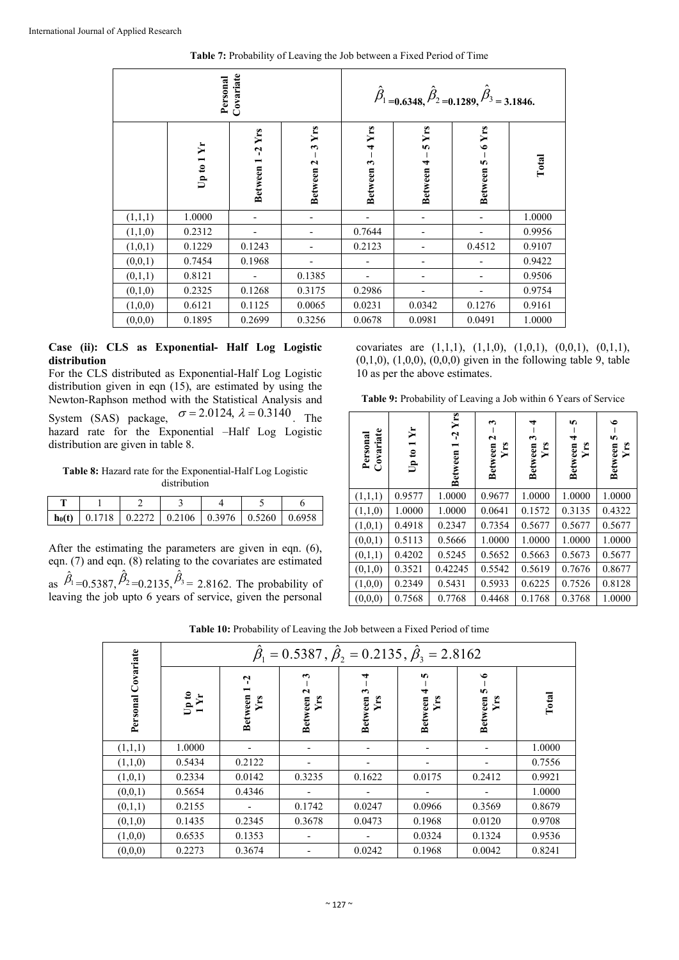**Table 7:** Probability of Leaving the Job between a Fixed Period of Time

| Covariate<br>Personal |                 |                       |                                  |                       | $\hat{\beta}_1 = 0.6348, \hat{\beta}_2 = 0.1289, \hat{\beta}_3 = 3.1846.$ |                      |        |
|-----------------------|-----------------|-----------------------|----------------------------------|-----------------------|---------------------------------------------------------------------------|----------------------|--------|
|                       | Ýr<br>Up to $1$ | $-2$ Yrs<br>Between 1 | Yrs<br>$\mathbf{r}$<br>Between 2 | Yrs<br>4<br>Between 3 | 5Yrs<br>Between 4                                                         | $6$ Yrs<br>Between 5 | Total  |
| (1,1,1)               | 1.0000          |                       |                                  |                       |                                                                           |                      | 1.0000 |
| (1,1,0)               | 0.2312          |                       |                                  | 0.7644                |                                                                           |                      | 0.9956 |
| (1,0,1)               | 0.1229          | 0.1243                |                                  | 0.2123                |                                                                           | 0.4512               | 0.9107 |
| (0,0,1)               | 0.7454          | 0.1968                |                                  |                       |                                                                           |                      | 0.9422 |
| (0,1,1)               | 0.8121          |                       | 0.1385                           |                       |                                                                           |                      | 0.9506 |
| (0,1,0)               | 0.2325          | 0.1268                | 0.3175                           | 0.2986                |                                                                           |                      | 0.9754 |
| (1,0,0)               | 0.6121          | 0.1125                | 0.0065                           | 0.0231                | 0.0342                                                                    | 0.1276               | 0.9161 |
| (0,0,0)               | 0.1895          | 0.2699                | 0.3256                           | 0.0678                | 0.0981                                                                    | 0.0491               | 1.0000 |

### **Case (ii): CLS as Exponential- Half Log Logistic distribution**

For the CLS distributed as Exponential-Half Log Logistic distribution given in eqn (15), are estimated by using the Newton-Raphson method with the Statistical Analysis and System (SAS) package,  $\sigma = 2.0124$ ,  $\lambda = 0.3140$ . The hazard rate for the Exponential –Half Log Logistic distribution are given in table 8.

**Table 8:** Hazard rate for the Exponential-Half Log Logistic distribution

|  | ho(t) $\vert$ 0.1718 $\vert$ 0.2272 $\vert$ 0.2106 $\vert$ 0.3976 $\vert$ 0.5260 $\vert$ 0.6958 |  |  |
|--|-------------------------------------------------------------------------------------------------|--|--|

After the estimating the parameters are given in eqn. (6), eqn. (7) and eqn. (8) relating to the covariates are estimated as  $\hat{\beta}_1 = 0.5387$ ,  $\hat{\beta}_2 = 0.2135$ ,  $\hat{\beta}_3 = 2.8162$ . The probability of leaving the job upto 6 years of service, given the personal

covariates are  $(1,1,1)$ ,  $(1,1,0)$ ,  $(1,0,1)$ ,  $(0,0,1)$ ,  $(0,1,1)$ ,  $(0,1,0)$ ,  $(1,0,0)$ ,  $(0,0,0)$  given in the following table 9, table 10 as per the above estimates.

**Table 9:** Probability of Leaving a Job within 6 Years of Service

| Covariate<br>Personal | Yr<br>Up to $1$ | Yrs<br>Ļ<br><b>Between</b> | ω<br>Between 2<br>Yrs | ᢦ<br>Between 3<br>Υrs | 5<br>4<br>Between<br>Yrs | ی<br>Between 5 -<br>Yrs |
|-----------------------|-----------------|----------------------------|-----------------------|-----------------------|--------------------------|-------------------------|
| (1,1,1)               | 0.9577          | 1.0000                     | 0.9677                | 1.0000                | 1.0000                   | 1.0000                  |
| (1,1,0)               | 1.0000          | 1.0000                     | 0.0641                | 0.1572                | 0.3135                   | 0.4322                  |
| (1,0,1)               | 0.4918          | 0.2347                     | 0.7354                | 0.5677                | 0.5677                   | 0.5677                  |
| (0,0,1)               | 0.5113          | 0.5666                     | 1.0000                | 1.0000                | 1.0000                   | 1.0000                  |
| (0,1,1)               | 0.4202          | 0.5245                     | 0.5652                | 0.5663                | 0.5673                   | 0.5677                  |
| (0,1,0)               | 0.3521          | 0.42245                    | 0.5542                | 0.5619                | 0.7676                   | 0.8677                  |
| (1,0,0)               | 0.2349          | 0.5431                     | 0.5933                | 0.6225                | 0.7526                   | 0.8128                  |
| (0,0,0)               | 0.7568          | 0.7768                     | 0.4468                | 0.1768                | 0.3768                   | 1.0000                  |

|                       |                 | $\beta_1 = 0.5387$ , $\beta_2 = 0.2135$ , $\beta_3 = 2.8162$ |                                 |                                             |                                 |                                         |        |  |  |
|-----------------------|-----------------|--------------------------------------------------------------|---------------------------------|---------------------------------------------|---------------------------------|-----------------------------------------|--------|--|--|
| Covariate<br>Personal | $U$ pto<br>1 Yr | ೆ<br><b>Between</b><br><b>Yrs</b>                            | 3<br>2<br><b>Between</b><br>Ýґs | $\mathbf{\hat{z}}$<br><b>Between</b><br>Υrs | 5<br>┯<br><b>Between</b><br>Yrs | $\bullet$<br>S<br><b>Between</b><br>Υrs | Total  |  |  |
| (1,1,1)               | 1.0000          |                                                              |                                 |                                             |                                 |                                         | 1.0000 |  |  |
| (1,1,0)               | 0.5434          | 0.2122                                                       |                                 |                                             |                                 |                                         | 0.7556 |  |  |
| (1,0,1)               | 0.2334          | 0.0142                                                       | 0.3235                          | 0.1622                                      | 0.0175                          | 0.2412                                  | 0.9921 |  |  |
| (0,0,1)               | 0.5654          | 0.4346                                                       |                                 |                                             |                                 |                                         | 1.0000 |  |  |
| (0,1,1)               | 0.2155          |                                                              | 0.1742                          | 0.0247                                      | 0.0966                          | 0.3569                                  | 0.8679 |  |  |
| (0,1,0)               | 0.1435          | 0.2345                                                       | 0.3678                          | 0.0473                                      | 0.1968                          | 0.0120                                  | 0.9708 |  |  |
| (1,0,0)               | 0.6535          | 0.1353                                                       |                                 |                                             | 0.0324                          | 0.1324                                  | 0.9536 |  |  |
| (0,0,0)               | 0.2273          | 0.3674                                                       |                                 | 0.0242                                      | 0.1968                          | 0.0042                                  | 0.8241 |  |  |